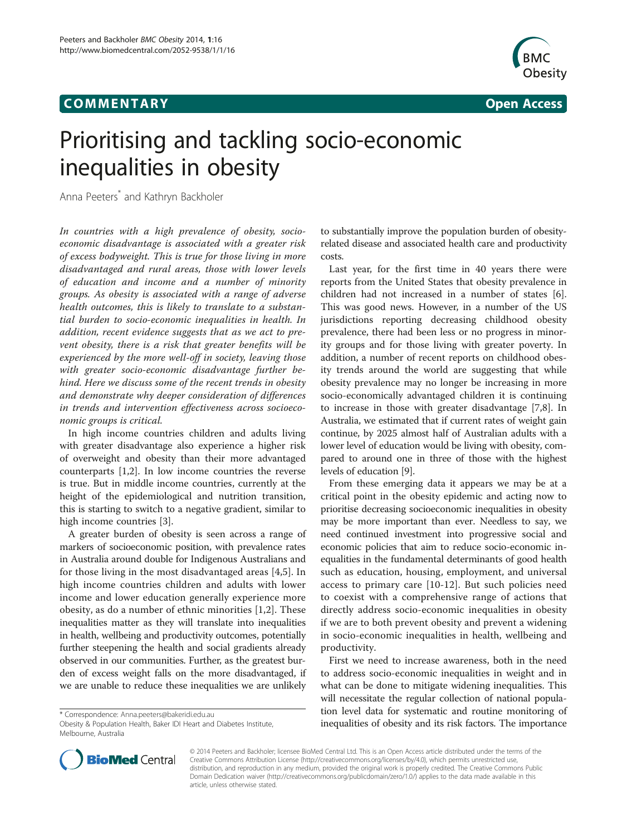## **COMMENTARY COMMENTARY Open Access**



# Prioritising and tackling socio-economic inequalities in obesity

Anna Peeters\* and Kathryn Backholer

In countries with a high prevalence of obesity, socioeconomic disadvantage is associated with a greater risk of excess bodyweight. This is true for those living in more disadvantaged and rural areas, those with lower levels of education and income and a number of minority groups. As obesity is associated with a range of adverse health outcomes, this is likely to translate to a substantial burden to socio-economic inequalities in health. In addition, recent evidence suggests that as we act to prevent obesity, there is a risk that greater benefits will be experienced by the more well-off in society, leaving those with greater socio-economic disadvantage further behind. Here we discuss some of the recent trends in obesity and demonstrate why deeper consideration of differences in trends and intervention effectiveness across socioeconomic groups is critical.

In high income countries children and adults living with greater disadvantage also experience a higher risk of overweight and obesity than their more advantaged counterparts [[1,2\]](#page-2-0). In low income countries the reverse is true. But in middle income countries, currently at the height of the epidemiological and nutrition transition, this is starting to switch to a negative gradient, similar to high income countries [[3](#page-2-0)].

A greater burden of obesity is seen across a range of markers of socioeconomic position, with prevalence rates in Australia around double for Indigenous Australians and for those living in the most disadvantaged areas [\[4,5](#page-2-0)]. In high income countries children and adults with lower income and lower education generally experience more obesity, as do a number of ethnic minorities [\[1](#page-2-0),[2\]](#page-2-0). These inequalities matter as they will translate into inequalities in health, wellbeing and productivity outcomes, potentially further steepening the health and social gradients already observed in our communities. Further, as the greatest burden of excess weight falls on the more disadvantaged, if we are unable to reduce these inequalities we are unlikely

to substantially improve the population burden of obesityrelated disease and associated health care and productivity costs.

Last year, for the first time in 40 years there were reports from the United States that obesity prevalence in children had not increased in a number of states [\[6](#page-2-0)]. This was good news. However, in a number of the US jurisdictions reporting decreasing childhood obesity prevalence, there had been less or no progress in minority groups and for those living with greater poverty. In addition, a number of recent reports on childhood obesity trends around the world are suggesting that while obesity prevalence may no longer be increasing in more socio-economically advantaged children it is continuing to increase in those with greater disadvantage [\[7,8](#page-2-0)]. In Australia, we estimated that if current rates of weight gain continue, by 2025 almost half of Australian adults with a lower level of education would be living with obesity, compared to around one in three of those with the highest levels of education [\[9](#page-2-0)].

From these emerging data it appears we may be at a critical point in the obesity epidemic and acting now to prioritise decreasing socioeconomic inequalities in obesity may be more important than ever. Needless to say, we need continued investment into progressive social and economic policies that aim to reduce socio-economic inequalities in the fundamental determinants of good health such as education, housing, employment, and universal access to primary care [\[10](#page-2-0)-[12\]](#page-2-0). But such policies need to coexist with a comprehensive range of actions that directly address socio-economic inequalities in obesity if we are to both prevent obesity and prevent a widening in socio-economic inequalities in health, wellbeing and productivity.

First we need to increase awareness, both in the need to address socio-economic inequalities in weight and in what can be done to mitigate widening inequalities. This will necessitate the regular collection of national population level data for systematic and routine monitoring of inequalities of obesity and its risk factors. The importance



© 2014 Peeters and Backholer; licensee BioMed Central Ltd. This is an Open Access article distributed under the terms of the Creative Commons Attribution License (<http://creativecommons.org/licenses/by/4.0>), which permits unrestricted use, distribution, and reproduction in any medium, provided the original work is properly credited. The Creative Commons Public Domain Dedication waiver [\(http://creativecommons.org/publicdomain/zero/1.0/\)](http://creativecommons.org/publicdomain/zero/1.0/) applies to the data made available in this article, unless otherwise stated.

<sup>\*</sup> Correspondence: [Anna.peeters@bakeridi.edu.au](mailto:Anna.peeters@bakeridi.edu.au)

Obesity & Population Health, Baker IDI Heart and Diabetes Institute, Melbourne, Australia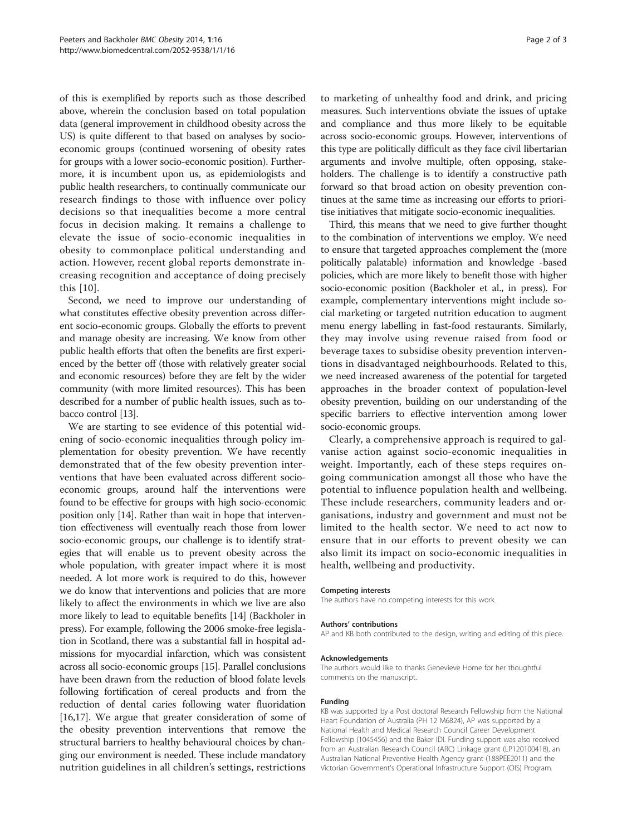of this is exemplified by reports such as those described above, wherein the conclusion based on total population data (general improvement in childhood obesity across the US) is quite different to that based on analyses by socioeconomic groups (continued worsening of obesity rates for groups with a lower socio-economic position). Furthermore, it is incumbent upon us, as epidemiologists and public health researchers, to continually communicate our research findings to those with influence over policy decisions so that inequalities become a more central focus in decision making. It remains a challenge to elevate the issue of socio-economic inequalities in obesity to commonplace political understanding and action. However, recent global reports demonstrate increasing recognition and acceptance of doing precisely this [[10\]](#page-2-0).

Second, we need to improve our understanding of what constitutes effective obesity prevention across different socio-economic groups. Globally the efforts to prevent and manage obesity are increasing. We know from other public health efforts that often the benefits are first experienced by the better off (those with relatively greater social and economic resources) before they are felt by the wider community (with more limited resources). This has been described for a number of public health issues, such as tobacco control [[13](#page-2-0)].

We are starting to see evidence of this potential widening of socio-economic inequalities through policy implementation for obesity prevention. We have recently demonstrated that of the few obesity prevention interventions that have been evaluated across different socioeconomic groups, around half the interventions were found to be effective for groups with high socio-economic position only [[14](#page-2-0)]. Rather than wait in hope that intervention effectiveness will eventually reach those from lower socio-economic groups, our challenge is to identify strategies that will enable us to prevent obesity across the whole population, with greater impact where it is most needed. A lot more work is required to do this, however we do know that interventions and policies that are more likely to affect the environments in which we live are also more likely to lead to equitable benefits [\[14\]](#page-2-0) (Backholer in press). For example, following the 2006 smoke-free legislation in Scotland, there was a substantial fall in hospital admissions for myocardial infarction, which was consistent across all socio-economic groups [\[15\]](#page-2-0). Parallel conclusions have been drawn from the reduction of blood folate levels following fortification of cereal products and from the reduction of dental caries following water fluoridation [[16,17](#page-2-0)]. We argue that greater consideration of some of the obesity prevention interventions that remove the structural barriers to healthy behavioural choices by changing our environment is needed. These include mandatory nutrition guidelines in all children's settings, restrictions

to marketing of unhealthy food and drink, and pricing measures. Such interventions obviate the issues of uptake and compliance and thus more likely to be equitable across socio-economic groups. However, interventions of this type are politically difficult as they face civil libertarian arguments and involve multiple, often opposing, stakeholders. The challenge is to identify a constructive path forward so that broad action on obesity prevention continues at the same time as increasing our efforts to prioritise initiatives that mitigate socio-economic inequalities.

Third, this means that we need to give further thought to the combination of interventions we employ. We need to ensure that targeted approaches complement the (more politically palatable) information and knowledge -based policies, which are more likely to benefit those with higher socio-economic position (Backholer et al., in press). For example, complementary interventions might include social marketing or targeted nutrition education to augment menu energy labelling in fast-food restaurants. Similarly, they may involve using revenue raised from food or beverage taxes to subsidise obesity prevention interventions in disadvantaged neighbourhoods. Related to this, we need increased awareness of the potential for targeted approaches in the broader context of population-level obesity prevention, building on our understanding of the specific barriers to effective intervention among lower socio-economic groups.

Clearly, a comprehensive approach is required to galvanise action against socio-economic inequalities in weight. Importantly, each of these steps requires ongoing communication amongst all those who have the potential to influence population health and wellbeing. These include researchers, community leaders and organisations, industry and government and must not be limited to the health sector. We need to act now to ensure that in our efforts to prevent obesity we can also limit its impact on socio-economic inequalities in health, wellbeing and productivity.

#### Competing interests

The authors have no competing interests for this work.

#### Authors' contributions

AP and KB both contributed to the design, writing and editing of this piece.

#### Acknowledgements

The authors would like to thanks Genevieve Horne for her thoughtful comments on the manuscript.

#### Funding

KB was supported by a Post doctoral Research Fellowship from the National Heart Foundation of Australia (PH 12 M6824), AP was supported by a National Health and Medical Research Council Career Development Fellowship (1045456) and the Baker IDI. Funding support was also received from an Australian Research Council (ARC) Linkage grant (LP120100418), an Australian National Preventive Health Agency grant (188PEE2011) and the Victorian Government's Operational Infrastructure Support (OIS) Program.